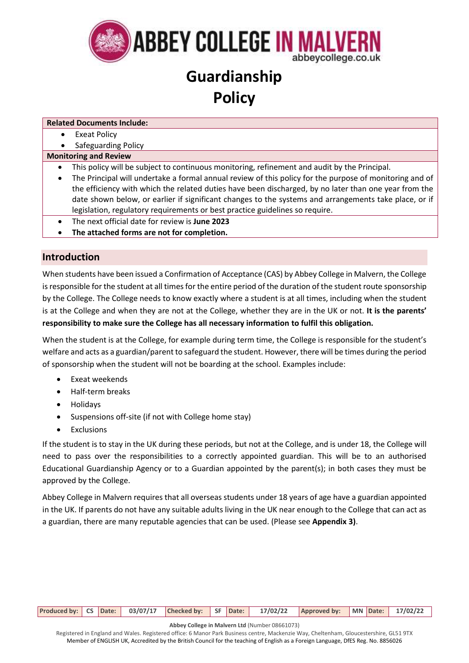

# **Guardianship Policy**

**Related Documents Include:**

- Exeat Policy
- Safeguarding Policy

### **Monitoring and Review**

- This policy will be subject to continuous monitoring, refinement and audit by the Principal.
- The Principal will undertake a formal annual review of this policy for the purpose of monitoring and of the efficiency with which the related duties have been discharged, by no later than one year from the date shown below, or earlier if significant changes to the systems and arrangements take place, or if legislation, regulatory requirements or best practice guidelines so require.
- The next official date for review is **June 2023**
- **The attached forms are not for completion.**

## **Introduction**

When students have been issued a Confirmation of Acceptance (CAS) by Abbey College in Malvern, the College is responsible for the student at all times for the entire period of the duration of the student route sponsorship by the College. The College needs to know exactly where a student is at all times, including when the student is at the College and when they are not at the College, whether they are in the UK or not. **It is the parents' responsibility to make sure the College has all necessary information to fulfil this obligation.**

When the student is at the College, for example during term time, the College is responsible for the student's welfare and acts as a guardian/parent to safeguard the student. However, there will be times during the period of sponsorship when the student will not be boarding at the school. Examples include:

- Exeat weekends
- Half-term breaks
- Holidays
- Suspensions off-site (if not with College home stay)
- Exclusions

If the student is to stay in the UK during these periods, but not at the College, and is under 18, the College will need to pass over the responsibilities to a correctly appointed guardian. This will be to an authorised Educational Guardianship Agency or to a Guardian appointed by the parent(s); in both cases they must be approved by the College.

Abbey College in Malvern requires that all overseas students under 18 years of age have a guardian appointed in the UK. If parents do not have any suitable adults living in the UK near enough to the College that can act as a guardian, there are many reputable agencies that can be used. (Please see **Appendix 3)**.

| Produced by: CS Date: 03/07/17 Checked by: SF Date: 17/02/22 Approved by: MN Date: 17/02/22 |
|---------------------------------------------------------------------------------------------|
|---------------------------------------------------------------------------------------------|

**Abbey College in Malvern Ltd** (Number 08661073)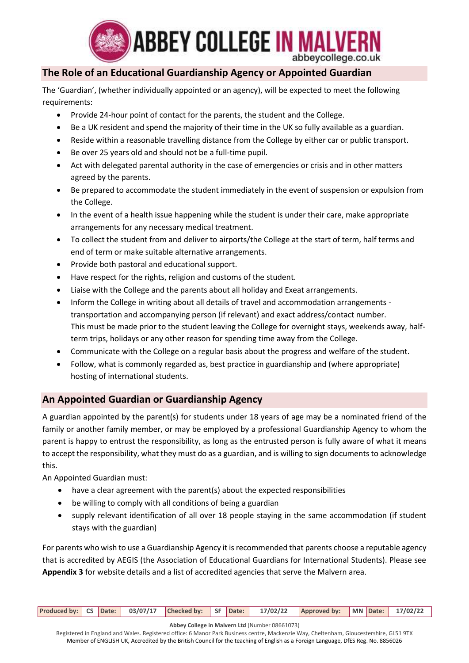

## **The Role of an Educational Guardianship Agency or Appointed Guardian**

The 'Guardian', (whether individually appointed or an agency), will be expected to meet the following requirements:

- Provide 24-hour point of contact for the parents, the student and the College.
- Be a UK resident and spend the majority of their time in the UK so fully available as a guardian.
- Reside within a reasonable travelling distance from the College by either car or public transport.
- Be over 25 years old and should not be a full-time pupil.
- Act with delegated parental authority in the case of emergencies or crisis and in other matters agreed by the parents.
- Be prepared to accommodate the student immediately in the event of suspension or expulsion from the College.
- In the event of a health issue happening while the student is under their care, make appropriate arrangements for any necessary medical treatment.
- To collect the student from and deliver to airports/the College at the start of term, half terms and end of term or make suitable alternative arrangements.
- Provide both pastoral and educational support.
- Have respect for the rights, religion and customs of the student.
- Liaise with the College and the parents about all holiday and Exeat arrangements.
- Inform the College in writing about all details of travel and accommodation arrangements transportation and accompanying person (if relevant) and exact address/contact number. This must be made prior to the student leaving the College for overnight stays, weekends away, halfterm trips, holidays or any other reason for spending time away from the College.
- Communicate with the College on a regular basis about the progress and welfare of the student.
- Follow, what is commonly regarded as, best practice in guardianship and (where appropriate) hosting of international students.

## **An Appointed Guardian or Guardianship Agency**

A guardian appointed by the parent(s) for students under 18 years of age may be a nominated friend of the family or another family member, or may be employed by a professional Guardianship Agency to whom the parent is happy to entrust the responsibility, as long as the entrusted person is fully aware of what it means to accept the responsibility, what they must do as a guardian, and is willing to sign documents to acknowledge this.

An Appointed Guardian must:

- have a clear agreement with the parent(s) about the expected responsibilities
- be willing to comply with all conditions of being a guardian
- supply relevant identification of all over 18 people staying in the same accommodation (if student stays with the guardian)

For parents who wish to use a Guardianship Agency it is recommended that parents choose a reputable agency that is accredited by AEGIS (the Association of Educational Guardians for International Students). Please see **Appendix 3** for website details and a list of accredited agencies that serve the Malvern area.

|  |  |  | Produced by: CS Date: 03/07/17 Checked by: SF Date: 17/02/22 Approved by: MN Date: 17/02/22 |  |  |
|--|--|--|---------------------------------------------------------------------------------------------|--|--|
|  |  |  |                                                                                             |  |  |

**Abbey College in Malvern Ltd** (Number 08661073)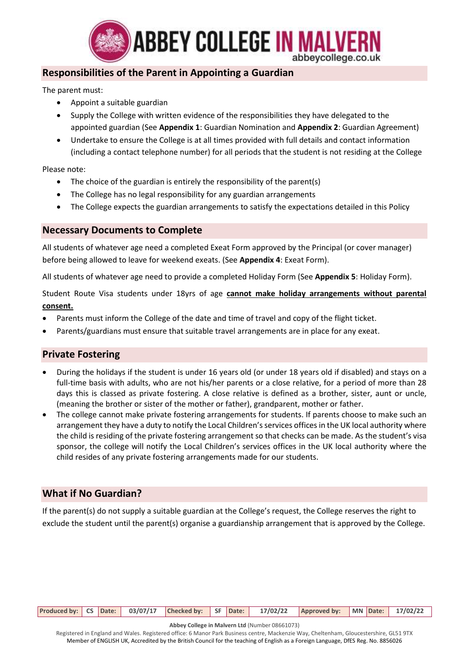

## **Responsibilities of the Parent in Appointing a Guardian**

The parent must:

- Appoint a suitable guardian
- Supply the College with written evidence of the responsibilities they have delegated to the appointed guardian (See **Appendix 1**: Guardian Nomination and **Appendix 2**: Guardian Agreement)
- Undertake to ensure the College is at all times provided with full details and contact information (including a contact telephone number) for all periods that the student is not residing at the College

Please note:

- The choice of the guardian is entirely the responsibility of the parent(s)
- The College has no legal responsibility for any guardian arrangements
- The College expects the guardian arrangements to satisfy the expectations detailed in this Policy

## **Necessary Documents to Complete**

All students of whatever age need a completed Exeat Form approved by the Principal (or cover manager) before being allowed to leave for weekend exeats. (See **Appendix 4**: Exeat Form).

All students of whatever age need to provide a completed Holiday Form (See **Appendix 5**: Holiday Form).

Student Route Visa students under 18yrs of age **cannot make holiday arrangements without parental consent.**

- Parents must inform the College of the date and time of travel and copy of the flight ticket.
- Parents/guardians must ensure that suitable travel arrangements are in place for any exeat.

## **Private Fostering**

- During the holidays if the student is under 16 years old (or under 18 years old if disabled) and stays on a full-time basis with adults, who are not his/her parents or a close relative, for a period of more than 28 days this is classed as private fostering. A close relative is defined as a brother, sister, aunt or uncle, (meaning the brother or sister of the mother or father), grandparent, mother or father.
- The college cannot make private fostering arrangements for students. If parents choose to make such an arrangement they have a duty to notify the Local Children's services offices in the UK local authority where the child is residing of the private fostering arrangement so that checks can be made. As the student's visa sponsor, the college will notify the Local Children's services offices in the UK local authority where the child resides of any private fostering arrangements made for our students.

## **What if No Guardian?**

If the parent(s) do not supply a suitable guardian at the College's request, the College reserves the right to exclude the student until the parent(s) organise a guardianship arrangement that is approved by the College.

**Produced by: CS Date: 03/07/17 Checked by: SF Date: 17/02/22 Approved by: MN Date: 17/02/22**

**Abbey College in Malvern Ltd** (Number 08661073)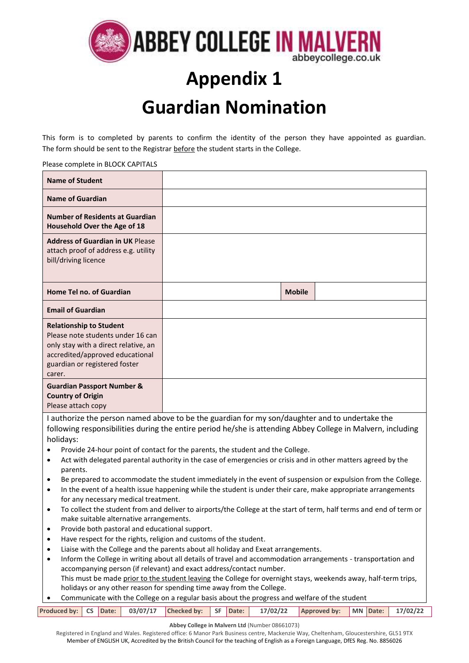

# **Appendix 1 Guardian Nomination**

This form is to completed by parents to confirm the identity of the person they have appointed as guardian. The form should be sent to the Registrar before the student starts in the College.

#### Please complete in BLOCK CAPITALS

| <b>Name of Student</b>                                                                                                                                                                    |                                                                                                                                                                                                               |               |  |
|-------------------------------------------------------------------------------------------------------------------------------------------------------------------------------------------|---------------------------------------------------------------------------------------------------------------------------------------------------------------------------------------------------------------|---------------|--|
| <b>Name of Guardian</b>                                                                                                                                                                   |                                                                                                                                                                                                               |               |  |
| <b>Number of Residents at Guardian</b><br>Household Over the Age of 18                                                                                                                    |                                                                                                                                                                                                               |               |  |
| <b>Address of Guardian in UK Please</b><br>attach proof of address e.g. utility<br>bill/driving licence                                                                                   |                                                                                                                                                                                                               |               |  |
| Home Tel no. of Guardian                                                                                                                                                                  |                                                                                                                                                                                                               | <b>Mobile</b> |  |
| <b>Email of Guardian</b>                                                                                                                                                                  |                                                                                                                                                                                                               |               |  |
| <b>Relationship to Student</b><br>Please note students under 16 can<br>only stay with a direct relative, an<br>accredited/approved educational<br>guardian or registered foster<br>carer. |                                                                                                                                                                                                               |               |  |
| <b>Guardian Passport Number &amp;</b><br><b>Country of Origin</b><br>Please attach copy                                                                                                   |                                                                                                                                                                                                               |               |  |
|                                                                                                                                                                                           | I authorize the person named above to be the guardian for my son/daughter and to undertake the<br>following responsibilities during the entire period he/she is attending Abbey College in Malvern, including |               |  |

following responsibilities during the entire period he/she is attending Abbey College in Malvern, including holidays:

- Provide 24-hour point of contact for the parents, the student and the College.
- Act with delegated parental authority in the case of emergencies or crisis and in other matters agreed by the parents.
- Be prepared to accommodate the student immediately in the event of suspension or expulsion from the College.
- In the event of a health issue happening while the student is under their care, make appropriate arrangements for any necessary medical treatment.
- To collect the student from and deliver to airports/the College at the start of term, half terms and end of term or make suitable alternative arrangements.
- Provide both pastoral and educational support.
- Have respect for the rights, religion and customs of the student.
- Liaise with the College and the parents about all holiday and Exeat arrangements.
- Inform the College in writing about all details of travel and accommodation arrangements transportation and accompanying person (if relevant) and exact address/contact number. This must be made prior to the student leaving the College for overnight stays, weekends away, half-term trips, holidays or any other reason for spending time away from the College.
- Communicate with the College on a regular basis about the progress and welfare of the student

|  |  |  |  | Produced by: CS Date: 03/07/17 Checked by: SF Date: 17/02/22 Approved by: MN Date: 17/02/22 |  |  |
|--|--|--|--|---------------------------------------------------------------------------------------------|--|--|
|  |  |  |  |                                                                                             |  |  |

**Abbey College in Malvern Ltd** (Number 08661073)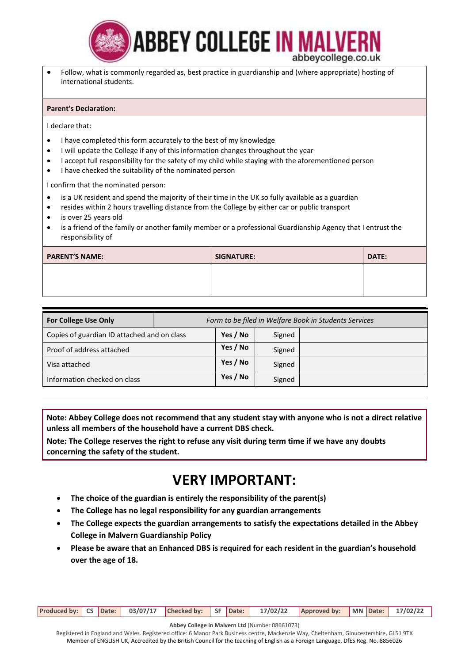

• Follow, what is commonly regarded as, best practice in guardianship and (where appropriate) hosting of international students.

#### **Parent's Declaration:**

I declare that:

- I have completed this form accurately to the best of my knowledge
- I will update the College if any of this information changes throughout the year
- I accept full responsibility for the safety of my child while staying with the aforementioned person
- I have checked the suitability of the nominated person

I confirm that the nominated person:

- is a UK resident and spend the majority of their time in the UK so fully available as a guardian
- resides within 2 hours travelling distance from the College by either car or public transport
- is over 25 years old
- is a friend of the family or another family member or a professional Guardianship Agency that I entrust the responsibility of

| <b>PARENT'S NAME:</b> | <b>SIGNATURE:</b> | DATE: |
|-----------------------|-------------------|-------|
|                       |                   |       |
|                       |                   |       |

| <b>For College Use Only</b>                 | Form to be filed in Welfare Book in Students Services |          |        |  |  |  |  |  |
|---------------------------------------------|-------------------------------------------------------|----------|--------|--|--|--|--|--|
| Copies of guardian ID attached and on class |                                                       | Yes / No | Signed |  |  |  |  |  |
| Proof of address attached                   |                                                       | Yes / No | Signed |  |  |  |  |  |
| Visa attached                               |                                                       | Yes / No | Signed |  |  |  |  |  |
| Information checked on class                |                                                       | Yes / No | Signed |  |  |  |  |  |

**Note: Abbey College does not recommend that any student stay with anyone who is not a direct relative unless all members of the household have a current DBS check.** 

**Note: The College reserves the right to refuse any visit during term time if we have any doubts concerning the safety of the student.**

## **VERY IMPORTANT:**

- **The choice of the guardian is entirely the responsibility of the parent(s)**
- **The College has no legal responsibility for any guardian arrangements**
- **The College expects the guardian arrangements to satisfy the expectations detailed in the Abbey College in Malvern Guardianship Policy**
- **Please be aware that an Enhanced DBS is required for each resident in the guardian's household over the age of 18.**

**Produced by: CS Date: 03/07/17 Checked by: SF Date: 17/02/22 Approved by: MN Date: 17/02/22**

**Abbey College in Malvern Ltd** (Number 08661073)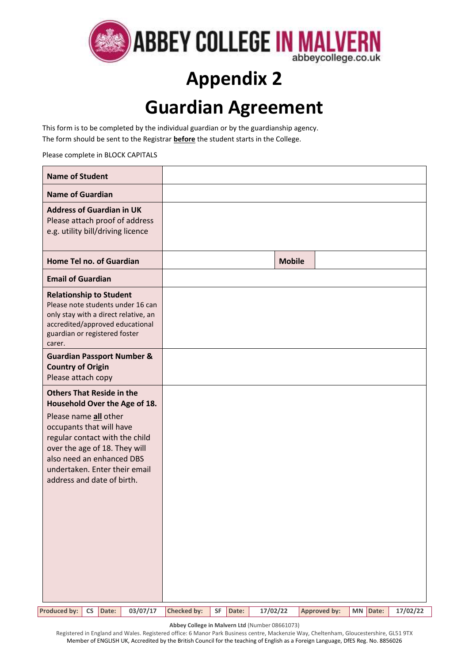

# **Appendix 2 Guardian Agreement**

This form is to be completed by the individual guardian or by the guardianship agency. The form should be sent to the Registrar **before** the student starts in the College.

Please complete in BLOCK CAPITALS

| <b>Name of Student</b>                                                                                                                                                                                           |                    |             |               |                     |             |          |
|------------------------------------------------------------------------------------------------------------------------------------------------------------------------------------------------------------------|--------------------|-------------|---------------|---------------------|-------------|----------|
| <b>Name of Guardian</b>                                                                                                                                                                                          |                    |             |               |                     |             |          |
| <b>Address of Guardian in UK</b><br>Please attach proof of address<br>e.g. utility bill/driving licence                                                                                                          |                    |             |               |                     |             |          |
| Home Tel no. of Guardian                                                                                                                                                                                         |                    |             | <b>Mobile</b> |                     |             |          |
| <b>Email of Guardian</b>                                                                                                                                                                                         |                    |             |               |                     |             |          |
| <b>Relationship to Student</b><br>Please note students under 16 can<br>only stay with a direct relative, an<br>accredited/approved educational<br>guardian or registered foster<br>carer.                        |                    |             |               |                     |             |          |
| <b>Guardian Passport Number &amp;</b><br><b>Country of Origin</b><br>Please attach copy                                                                                                                          |                    |             |               |                     |             |          |
| <b>Others That Reside in the</b><br>Household Over the Age of 18.                                                                                                                                                |                    |             |               |                     |             |          |
| Please name all other<br>occupants that will have<br>regular contact with the child<br>over the age of 18. They will<br>also need an enhanced DBS<br>undertaken. Enter their email<br>address and date of birth. |                    |             |               |                     |             |          |
| <b>Produced by:</b><br>03/07/17<br><b>CS</b><br>Date:                                                                                                                                                            | <b>Checked by:</b> | SF<br>Date: | 17/02/22      | <b>Approved by:</b> | MN<br>Date: | 17/02/22 |

**Abbey College in Malvern Ltd** (Number 08661073)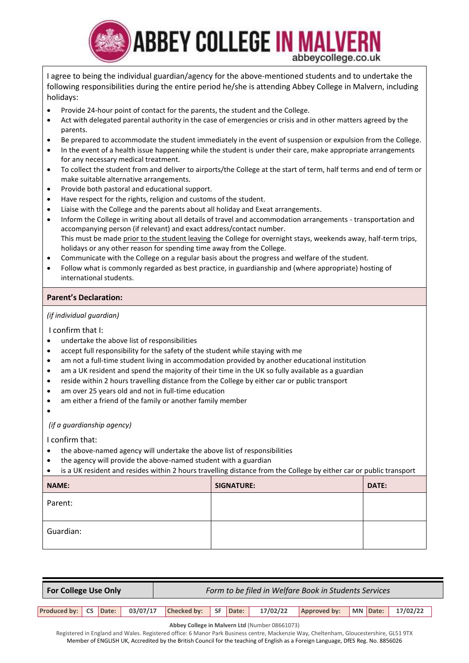

I agree to being the individual guardian/agency for the above-mentioned students and to undertake the following responsibilities during the entire period he/she is attending Abbey College in Malvern, including holidays:

- Provide 24-hour point of contact for the parents, the student and the College.
- Act with delegated parental authority in the case of emergencies or crisis and in other matters agreed by the parents.
- Be prepared to accommodate the student immediately in the event of suspension or expulsion from the College.
- In the event of a health issue happening while the student is under their care, make appropriate arrangements for any necessary medical treatment.
- To collect the student from and deliver to airports/the College at the start of term, half terms and end of term or make suitable alternative arrangements.
- Provide both pastoral and educational support.
- Have respect for the rights, religion and customs of the student.
- Liaise with the College and the parents about all holiday and Exeat arrangements.
- Inform the College in writing about all details of travel and accommodation arrangements transportation and accompanying person (if relevant) and exact address/contact number. This must be made prior to the student leaving the College for overnight stays, weekends away, half-term trips, holidays or any other reason for spending time away from the College.
- Communicate with the College on a regular basis about the progress and welfare of the student.
- Follow what is commonly regarded as best practice, in guardianship and (where appropriate) hosting of international students.

### **Parent's Declaration:**

### *(if individual guardian)*

I confirm that I:

- undertake the above list of responsibilities
- accept full responsibility for the safety of the student while staying with me
- am not a full-time student living in accommodation provided by another educational institution
- am a UK resident and spend the majority of their time in the UK so fully available as a guardian
- reside within 2 hours travelling distance from the College by either car or public transport
- am over 25 years old and not in full-time education
- am either a friend of the family or another family member
- •

*(if a guardianship agency)*

I confirm that:

- the above-named agency will undertake the above list of responsibilities
- the agency will provide the above-named student with a guardian

• is a UK resident and resides within 2 hours travelling distance from the College by either car or public transport

| <b>NAME:</b> | <b>SIGNATURE:</b> | DATE: |
|--------------|-------------------|-------|
| Parent:      |                   |       |
| Guardian:    |                   |       |

| <b>For College Use Only</b> |  |  |  | Form to be filed in Welfare Book in Students Services |  |  |          |              |  |  |                   |  |
|-----------------------------|--|--|--|-------------------------------------------------------|--|--|----------|--------------|--|--|-------------------|--|
|                             |  |  |  |                                                       |  |  |          |              |  |  |                   |  |
| Produced by: CS Date:       |  |  |  | $\vert$ 03/07/17 Checked by: SF Date:                 |  |  | 17/02/22 | Approved by: |  |  | MN Date: 17/02/22 |  |
|                             |  |  |  |                                                       |  |  |          |              |  |  |                   |  |

**Abbey College in Malvern Ltd** (Number 08661073)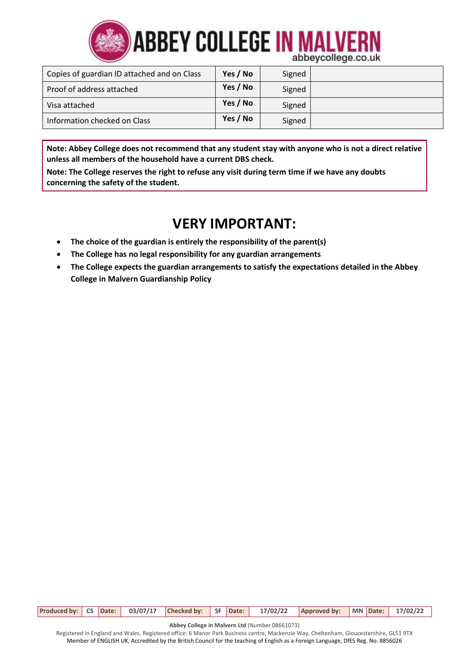

| Copies of guardian ID attached and on Class | Yes / No | Signed |  |
|---------------------------------------------|----------|--------|--|
| Proof of address attached                   | Yes / No | Signed |  |
| Visa attached                               | Yes / No | Signed |  |
| Information checked on Class                | Yes / No | Signed |  |

**Note: Abbey College does not recommend that any student stay with anyone who is not a direct relative unless all members of the household have a current DBS check.** 

**Note: The College reserves the right to refuse any visit during term time if we have any doubts concerning the safety of the student.**

# **VERY IMPORTANT:**

- **The choice of the guardian is entirely the responsibility of the parent(s)**
- **The College has no legal responsibility for any guardian arrangements**
- **The College expects the guardian arrangements to satisfy the expectations detailed in the Abbey College in Malvern Guardianship Policy**

|  |  |  |  | Produced by: CS Date: 03/07/17 Checked by: SF Date: 17/02/22 Approved by: MN Date: 17/02/22 |  |  |
|--|--|--|--|---------------------------------------------------------------------------------------------|--|--|

**Abbey College in Malvern Ltd** (Number 08661073)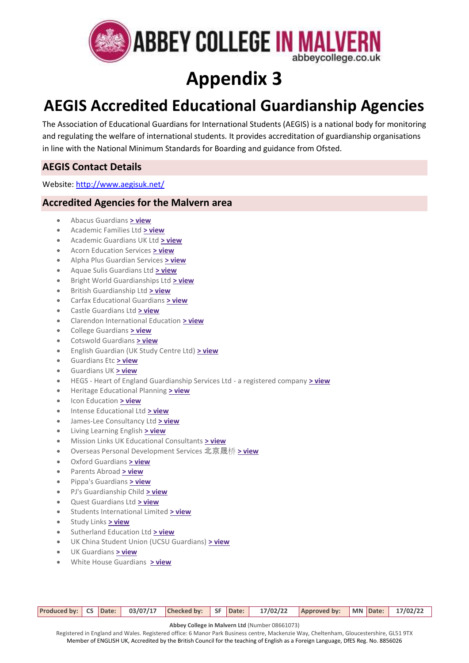

# **Appendix 3**

# **AEGIS Accredited Educational Guardianship Agencies**

The Association of Educational Guardians for International Students (AEGIS) is a national body for monitoring and regulating the welfare of international students. It provides accreditation of guardianship organisations in line with the National Minimum Standards for Boarding and guidance from Ofsted.

## **AEGIS Contact Details**

Website:<http://www.aegisuk.net/>

## **Accredited Agencies for the Malvern area**

- Abacus Guardians **[> view](http://www.aegisuk.net/index.php?task=displayorganisation&orgid=94)**
- Academic Families Ltd **[> view](http://www.aegisuk.net/index.php?task=displayorganisation&orgid=492)**
- Academic Guardians UK Ltd **[> view](http://www.aegisuk.net/index.php?task=displayorganisation&orgid=421)**
- Acorn Education Services **[> view](http://www.aegisuk.net/index.php?task=displayorganisation&orgid=16)**
- Alpha Plus Guardian Services **[> view](http://www.aegisuk.net/index.php?task=displayorganisation&orgid=7)**
- Aquae Sulis Guardians Ltd **[> view](http://www.aegisuk.net/index.php?task=displayorganisation&orgid=423)**
- Bright World Guardianships Ltd **[> view](http://www.aegisuk.net/index.php?task=displayorganisation&orgid=17)**
- British Guardianship Ltd **[> view](http://www.aegisuk.net/index.php?task=displayorganisation&orgid=495)**
- Carfax Educational Guardians **[> view](http://www.aegisuk.net/index.php?task=displayorganisation&orgid=88)**
- Castle Guardians Ltd **[> view](http://www.aegisuk.net/index.php?task=displayorganisation&orgid=419)**
- Clarendon International Education **[> view](http://www.aegisuk.net/index.php?task=displayorganisation&orgid=3)**
- College Guardians **[> view](http://www.aegisuk.net/index.php?task=displayorganisation&orgid=25)**
- Cotswold Guardians **[> view](http://www.aegisuk.net/index.php?task=displayorganisation&orgid=98)**
- English Guardian (UK Study Centre Ltd) **[> view](http://www.aegisuk.net/index.php?task=displayorganisation&orgid=427)**
- Guardians Etc **[> view](http://www.aegisuk.net/index.php?task=displayorganisation&orgid=441)**
- Guardians UK **[> view](http://www.aegisuk.net/index.php?task=displayorganisation&orgid=10)**
- HEGS Heart of England Guardianship Services Ltd a registered company **[> view](http://www.aegisuk.net/index.php?task=displayorganisation&orgid=86)**
- Heritage Educational Planning **[> view](http://www.aegisuk.net/index.php?task=displayorganisation&orgid=15)**
- Icon Education **[> view](http://www.aegisuk.net/index.php?task=displayorganisation&orgid=505)**
- Intense Educational Ltd **[> view](http://www.aegisuk.net/index.php?task=displayorganisation&orgid=461)**
- James-Lee Consultancy Ltd **[> view](http://www.aegisuk.net/index.php?task=displayorganisation&orgid=14)**
- Living Learning English **[> view](http://www.aegisuk.net/index.php?task=displayorganisation&orgid=13)**
- Mission Links UK Educational Consultants **[> view](http://www.aegisuk.net/index.php?task=displayorganisation&orgid=19)**
- Overseas Personal Development Services 北京晟桥 **[> view](http://www.aegisuk.net/index.php?task=displayorganisation&orgid=417)**
- Oxford Guardians **[> view](http://www.aegisuk.net/index.php?task=displayorganisation&orgid=497)**
- Parents Abroad **[> view](http://www.aegisuk.net/index.php?task=displayorganisation&orgid=82)**
- Pippa's Guardians **[> view](http://www.aegisuk.net/index.php?task=displayorganisation&orgid=18)**
- PJ's Guardianship Child **[> view](http://www.aegisuk.net/index.php?task=displayorganisation&orgid=425)**
- Quest Guardians Ltd **[> view](http://www.aegisuk.net/index.php?task=displayorganisation&orgid=40)**
- Students International Limited **[> view](http://www.aegisuk.net/index.php?task=displayorganisation&orgid=9)**
- Study Links **[> view](http://www.aegisuk.net/index.php?task=displayorganisation&orgid=85)**
- Sutherland Education Ltd **[> view](http://www.aegisuk.net/index.php?task=displayorganisation&orgid=6)**
- UK China Student Union (UCSU Guardians) **[> view](http://www.aegisuk.net/index.php?task=displayorganisation&orgid=101)**
- UK Guardians **[> view](http://www.aegisuk.net/index.php?task=displayorganisation&orgid=487)**
- White House Guardians **[> view](http://www.aegisuk.net/index.php?task=displayorganisation&orgid=487)**

|  |  |  |  |  |  |  |  |  | Produced by: CS Date: 03/07/17 Checked by: SF Date: 17/02/22 Approved by: MN Date: 17/02/22 |  |  |  |
|--|--|--|--|--|--|--|--|--|---------------------------------------------------------------------------------------------|--|--|--|
|--|--|--|--|--|--|--|--|--|---------------------------------------------------------------------------------------------|--|--|--|

**Abbey College in Malvern Ltd** (Number 08661073)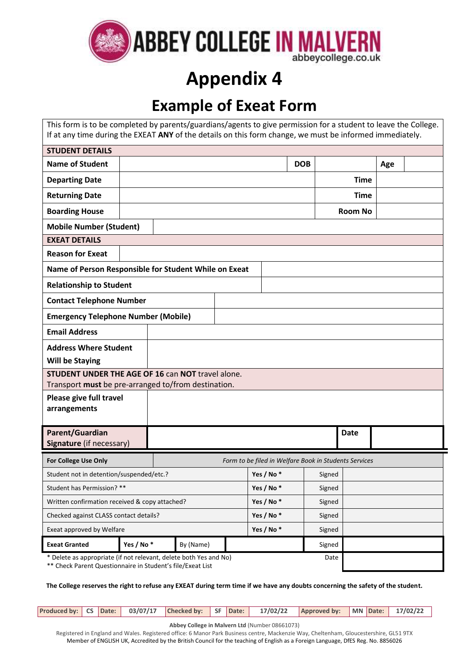

# **Appendix 4**

# **Example of Exeat Form**

| This form is to be completed by parents/guardians/agents to give permission for a student to leave the College.<br>If at any time during the EXEAT ANY of the details on this form change, we must be informed immediately. |           |           |        |           |                                                       |                |     |  |
|-----------------------------------------------------------------------------------------------------------------------------------------------------------------------------------------------------------------------------|-----------|-----------|--------|-----------|-------------------------------------------------------|----------------|-----|--|
| <b>STUDENT DETAILS</b>                                                                                                                                                                                                      |           |           |        |           |                                                       |                |     |  |
| <b>Name of Student</b>                                                                                                                                                                                                      |           |           |        |           | <b>DOB</b>                                            |                | Age |  |
| <b>Departing Date</b>                                                                                                                                                                                                       |           |           |        |           |                                                       | <b>Time</b>    |     |  |
| <b>Returning Date</b>                                                                                                                                                                                                       |           |           |        |           |                                                       | <b>Time</b>    |     |  |
| <b>Boarding House</b>                                                                                                                                                                                                       |           |           |        |           |                                                       | <b>Room No</b> |     |  |
| <b>Mobile Number (Student)</b>                                                                                                                                                                                              |           |           |        |           |                                                       |                |     |  |
| <b>EXEAT DETAILS</b>                                                                                                                                                                                                        |           |           |        |           |                                                       |                |     |  |
| <b>Reason for Exeat</b>                                                                                                                                                                                                     |           |           |        |           |                                                       |                |     |  |
| Name of Person Responsible for Student While on Exeat                                                                                                                                                                       |           |           |        |           |                                                       |                |     |  |
| <b>Relationship to Student</b>                                                                                                                                                                                              |           |           |        |           |                                                       |                |     |  |
| <b>Contact Telephone Number</b>                                                                                                                                                                                             |           |           |        |           |                                                       |                |     |  |
| <b>Emergency Telephone Number (Mobile)</b>                                                                                                                                                                                  |           |           |        |           |                                                       |                |     |  |
| <b>Email Address</b>                                                                                                                                                                                                        |           |           |        |           |                                                       |                |     |  |
| <b>Address Where Student</b>                                                                                                                                                                                                |           |           |        |           |                                                       |                |     |  |
| <b>Will be Staying</b>                                                                                                                                                                                                      |           |           |        |           |                                                       |                |     |  |
| STUDENT UNDER THE AGE OF 16 can NOT travel alone.                                                                                                                                                                           |           |           |        |           |                                                       |                |     |  |
| Transport must be pre-arranged to/from destination.                                                                                                                                                                         |           |           |        |           |                                                       |                |     |  |
| Please give full travel<br>arrangements                                                                                                                                                                                     |           |           |        |           |                                                       |                |     |  |
|                                                                                                                                                                                                                             |           |           |        |           |                                                       |                |     |  |
| Parent/Guardian<br>Signature (if necessary)                                                                                                                                                                                 |           |           |        |           |                                                       | <b>Date</b>    |     |  |
| For College Use Only                                                                                                                                                                                                        |           |           |        |           | Form to be filed in Welfare Book in Students Services |                |     |  |
| Student not in detention/suspended/etc.?                                                                                                                                                                                    |           |           |        | Yes / No* | Signed                                                |                |     |  |
| Student has Permission? **                                                                                                                                                                                                  |           |           |        | Yes / No* | Signed                                                |                |     |  |
| Written confirmation received & copy attached?                                                                                                                                                                              |           |           |        | Yes / No* | Signed                                                |                |     |  |
| Checked against CLASS contact details?                                                                                                                                                                                      |           | Yes / No* | Signed |           |                                                       |                |     |  |
| Exeat approved by Welfare                                                                                                                                                                                                   |           |           |        | Yes / No* | Signed                                                |                |     |  |
| <b>Exeat Granted</b>                                                                                                                                                                                                        | Yes / No* | By (Name) |        |           | Signed                                                |                |     |  |
| * Delete as appropriate (if not relevant, delete both Yes and No)<br>Date<br>** Check Parent Questionnaire in Student's file/Exeat List                                                                                     |           |           |        |           |                                                       |                |     |  |

**The College reserves the right to refuse any EXEAT during term time if we have any doubts concerning the safety of the student.**

**Produced by: CS Date: 03/07/17 Checked by: SF Date: 17/02/22 Approved by: MN Date: 17/02/22**

**Abbey College in Malvern Ltd** (Number 08661073)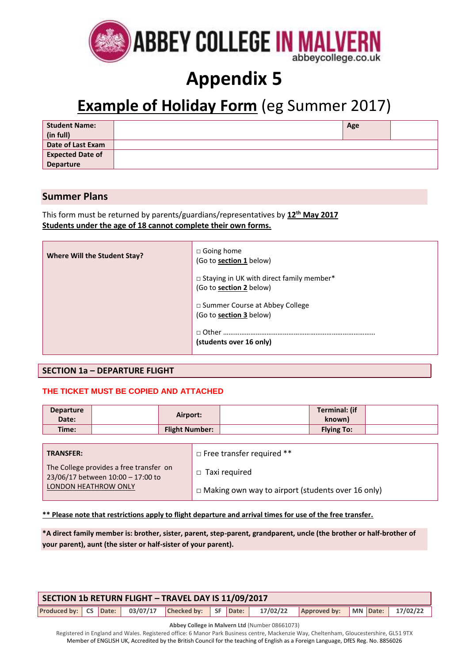

# **Appendix 5**

# **Example of Holiday Form** (eg Summer 2017)

| <b>Student Name:</b><br>(in full) | Age |  |
|-----------------------------------|-----|--|
| Date of Last Exam                 |     |  |
| <b>Expected Date of</b>           |     |  |
| <b>Departure</b>                  |     |  |

## **Summer Plans**

This form must be returned by parents/guardians/representatives by **12th May 2017 Students under the age of 18 cannot complete their own forms.**

| Where Will the Student Stay? | $\Box$ Going home<br>(Go to section 1 below)                                 |
|------------------------------|------------------------------------------------------------------------------|
|                              | □ Staying in UK with direct family member*<br>(Go to <b>section 2</b> below) |
|                              | □ Summer Course at Abbey College<br>(Go to section 3 below)                  |
|                              | □ Other<br>(students over 16 only)                                           |

### **SECTION 1a – DEPARTURE FLIGHT**

### **THE TICKET MUST BE COPIED AND ATTACHED**

| <b>Departure</b><br>Date: | Airport:              | Terminal: (if<br>known) |  |
|---------------------------|-----------------------|-------------------------|--|
| Time:                     | <b>Flight Number:</b> | <b>Flying To:</b>       |  |

| <b>TRANSFER:</b>                                                             | $\Box$ Free transfer required **                         |
|------------------------------------------------------------------------------|----------------------------------------------------------|
| The College provides a free transfer on<br>23/06/17 between 10:00 - 17:00 to | $\Box$ Taxi required                                     |
| LONDON HEATHROW ONLY                                                         | $\Box$ Making own way to airport (students over 16 only) |

**\*\* Please note that restrictions apply to flight departure and arrival times for use of the free transfer.**

**\*A direct family member is: brother, sister, parent, step-parent, grandparent, uncle (the brother or half-brother of your parent), aunt (the sister or half-sister of your parent).**

| SECTION 1b RETURN FLIGHT - TRAVEL DAY IS 11/09/2017 |  |  |  |  |  |  |  |                                                                                             |  |  |  |
|-----------------------------------------------------|--|--|--|--|--|--|--|---------------------------------------------------------------------------------------------|--|--|--|
|                                                     |  |  |  |  |  |  |  | Produced by: CS Date: 03/07/17 Checked by: SF Date: 17/02/22 Approved by: MN Date: 17/02/22 |  |  |  |

**Abbey College in Malvern Ltd** (Number 08661073)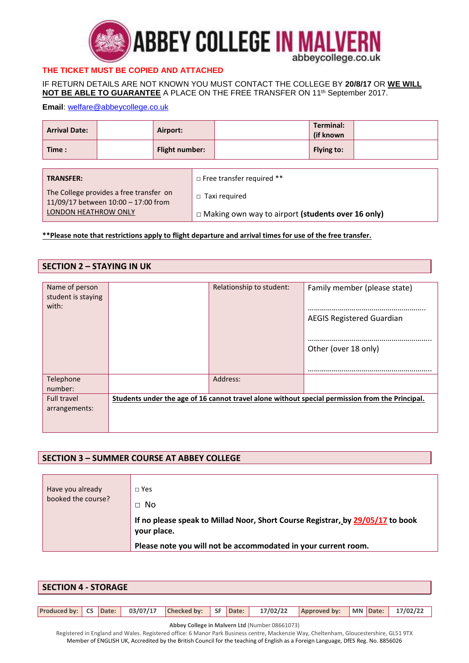

## **THE TICKET MUST BE COPIED AND ATTACHED**

IF RETURN DETAILS ARE NOT KNOWN YOU MUST CONTACT THE COLLEGE BY **20/8/17** OR **WE WILL NOT BE ABLE TO GUARANTEE** A PLACE ON THE FREE TRANSFER ON 11th September 2017.

#### **Email**: [welfare@abbeycollege.co.uk](mailto:welfare@abbeycollege.co.uk;sarah@abbeycollege.co.uk)

| <b>Arrival Date:</b>                                                           |  | Airport:              |                                                          |  | Terminal:<br>(if known) |  |  |
|--------------------------------------------------------------------------------|--|-----------------------|----------------------------------------------------------|--|-------------------------|--|--|
| Time:                                                                          |  | <b>Flight number:</b> |                                                          |  | Flying to:              |  |  |
|                                                                                |  |                       |                                                          |  |                         |  |  |
| <b>TRANSFER:</b>                                                               |  |                       | $\Box$ Free transfer required **                         |  |                         |  |  |
| The College provides a free transfer on<br>11/09/17 between 10:00 - 17:00 from |  |                       | Taxi required<br>$\Box$                                  |  |                         |  |  |
| LONDON HEATHROW ONLY                                                           |  |                       | $\Box$ Making own way to airport (students over 16 only) |  |                         |  |  |

**\*\*Please note that restrictions apply to flight departure and arrival times for use of the free transfer.**

### **SECTION 2 – STAYING IN UK**

| Name of person     | Relationship to student: | Family member (please state)                                                                    |
|--------------------|--------------------------|-------------------------------------------------------------------------------------------------|
| student is staying |                          |                                                                                                 |
| with:              |                          |                                                                                                 |
|                    |                          |                                                                                                 |
|                    |                          | <b>AEGIS Registered Guardian</b>                                                                |
|                    |                          |                                                                                                 |
|                    |                          |                                                                                                 |
|                    |                          | Other (over 18 only)                                                                            |
|                    |                          |                                                                                                 |
|                    |                          |                                                                                                 |
| Telephone          | Address:                 |                                                                                                 |
| number:            |                          |                                                                                                 |
| <b>Full travel</b> |                          | Students under the age of 16 cannot travel alone without special permission from the Principal. |
|                    |                          |                                                                                                 |
| arrangements:      |                          |                                                                                                 |
|                    |                          |                                                                                                 |
|                    |                          |                                                                                                 |

### **SECTION 3 – SUMMER COURSE AT ABBEY COLLEGE**

| Have you already<br>booked the course? | $\sqcap$ Yes<br>$\Box$ No                                                                     |
|----------------------------------------|-----------------------------------------------------------------------------------------------|
|                                        | If no please speak to Millad Noor, Short Course Registrar, by 29/05/17 to book<br>your place. |
|                                        | Please note you will not be accommodated in your current room.                                |

| <b>SECTION 4 - STORAGE</b> |  |  |  |                                                     |  |  |          |                                |  |  |
|----------------------------|--|--|--|-----------------------------------------------------|--|--|----------|--------------------------------|--|--|
|                            |  |  |  |                                                     |  |  |          |                                |  |  |
|                            |  |  |  | Produced by: CS Date: 03/07/17 Checked by: SF Date: |  |  | 17/02/22 | Approved by: MN Date: 17/02/22 |  |  |

**Abbey College in Malvern Ltd** (Number 08661073)